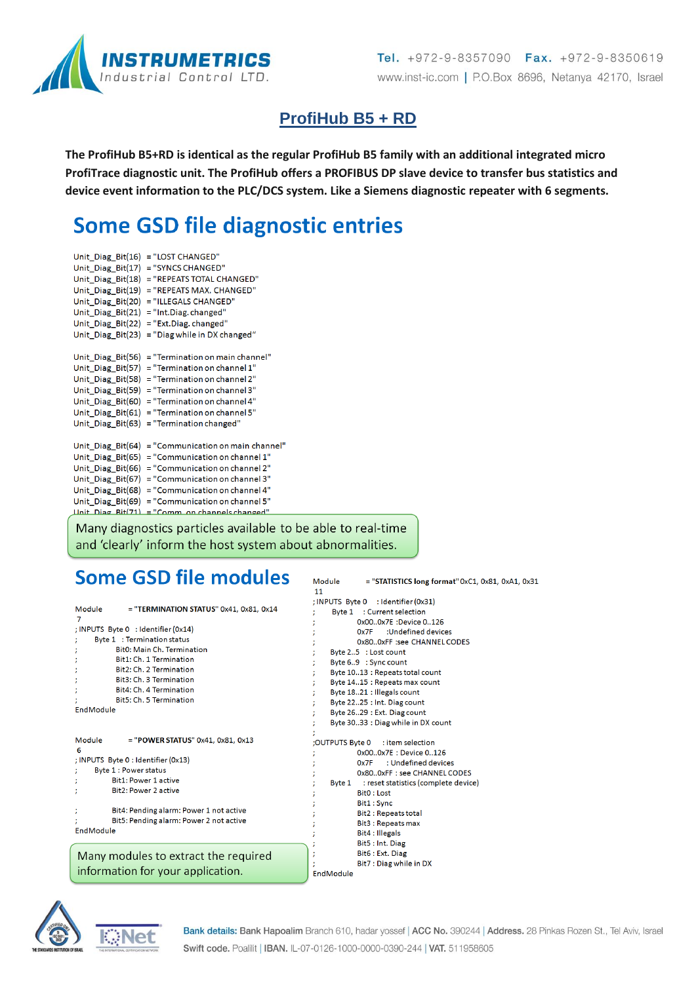

## **ProfiHub B5 + RD**

The ProfiHub B5+RD is identical as the regular ProfiHub B5 family with an additional integrated micro ProfiTrace diagnostic unit. The ProfiHub offers a PROFIBUS DP slave device to transfer bus statistics and device event information to the PLC/DCS system. Like a Siemens diagnostic repeater with 6 segments.

# **Some GSD file diagnostic entries**

Unit\_Diag\_Bit(16) = "LOST CHANGED" Unit\_Diag\_Bit(17) = "SYNCS CHANGED" Unit Diag Bit(18) = "REPEATS TOTAL CHANGED" Unit\_Diag\_Bit(19) = "REPEATS MAX. CHANGED" Unit\_Diag\_Bit(20) = "ILLEGALS CHANGED" Unit\_Diag\_Bit(21) = "Int.Diag.changed" Unit\_Diag\_Bit(22) = "Ext.Diag.changed" Unit\_Diag\_Bit(23) = "Diag while in DX changed" Unit\_Diag\_Bit(56) = "Termination on main channel" Unit Diag Bit(57) = "Termination on channel  $1$ " Unit\_Diag\_Bit(58) = "Termination on channel 2" Unit\_Diag\_Bit(59) = "Termination on channel 3" Unit\_Diag\_Bit(60) = "Termination on channel 4" Unit\_Diag\_Bit(61) = "Termination on channel 5" Unit\_Diag\_Bit(63) = "Termination changed" Unit\_Diag\_Bit(64) = "Communication on main channel" Unit\_Diag\_Bit(65) = "Communication on channel 1" Unit\_Diag\_Bit(66) = "Communication on channel 2" Unit\_Diag\_Bit(67) = "Communication on channel 3" Unit\_Diag\_Bit(68) = "Communication on channel 4" Unit\_Diag\_Bit(69) = "Communication on channel 5" Unit Diag  $Rit(71) = "Comm on channel channel"$ 

Many diagnostics particles available to be able to real-time and 'clearly' inform the host system about abnormalities.

# Some GSD file modules

|                                                                                                                                                                           | ; INPUTS Byte 0 : Identifier (0x31)                                                                                                                                                      |
|---------------------------------------------------------------------------------------------------------------------------------------------------------------------------|------------------------------------------------------------------------------------------------------------------------------------------------------------------------------------------|
| $=$ "TERMINATION STATUS" 0x41, 0x81, 0x14<br>Module                                                                                                                       | Byte 1 : Current selection                                                                                                                                                               |
| 7                                                                                                                                                                         | 0x000x7E :Device 0126                                                                                                                                                                    |
| ; INPUTS Byte 0 : Identifier (0x14)                                                                                                                                       | :Undefined devices<br>0x7F                                                                                                                                                               |
| Byte 1 : Termination status                                                                                                                                               | 0x800xFF :see CHANNEL CODES                                                                                                                                                              |
| Bit0: Main Ch. Termination                                                                                                                                                | Byte 25 : Lost count                                                                                                                                                                     |
| Bit1: Ch. 1 Termination                                                                                                                                                   | Byte 69 : Sync count                                                                                                                                                                     |
| Bit2: Ch. 2 Termination                                                                                                                                                   | Byte 1013 : Repeats total count                                                                                                                                                          |
| Bit3: Ch. 3 Termination                                                                                                                                                   | Byte 1415 : Repeats max count                                                                                                                                                            |
| Bit4: Ch. 4 Termination                                                                                                                                                   | Byte 1821 : Illegals count                                                                                                                                                               |
| Bit5: Ch. 5 Termination                                                                                                                                                   | Byte 2225 : Int. Diag count                                                                                                                                                              |
| EndModule                                                                                                                                                                 | Byte 2629 : Ext. Diag count                                                                                                                                                              |
|                                                                                                                                                                           | Byte 3033 : Diag while in DX count                                                                                                                                                       |
| Module<br>$=$ "POWER STATUS" 0x41, 0x81, 0x13<br>6<br>; INPUTS Byte 0 : Identifier (0x13)<br>Byte 1 : Power status<br><b>Bit1: Power 1 active</b><br>Bit2: Power 2 active | OUTPUTS Byte 0;<br>: item selection<br>0x000x7E: Device 0126<br>: Undefined devices<br>0x7F<br>0x800xFF: see CHANNEL CODES<br>Byte 1 : reset statistics (complete device)<br>Bit0 : Lost |
| Bit4: Pending alarm: Power 1 not active<br>Bit5: Pending alarm: Power 2 not active<br>EndModule                                                                           | Bit1 : Sync<br>Bit2 : Repeats total<br><b>Bit3: Repeats max</b><br>Bit4 : Illegals<br>Bit5 : Int. Diag                                                                                   |
| Many modules to extract the required                                                                                                                                      | Bit6 : Ext. Diag<br>Bit7 : Diag while in DX                                                                                                                                              |

Module

.<br>EndModule

 $11$ 

information for your application.



= "STATISTICS long format" 0xC1, 0x81, 0xA1, 0x31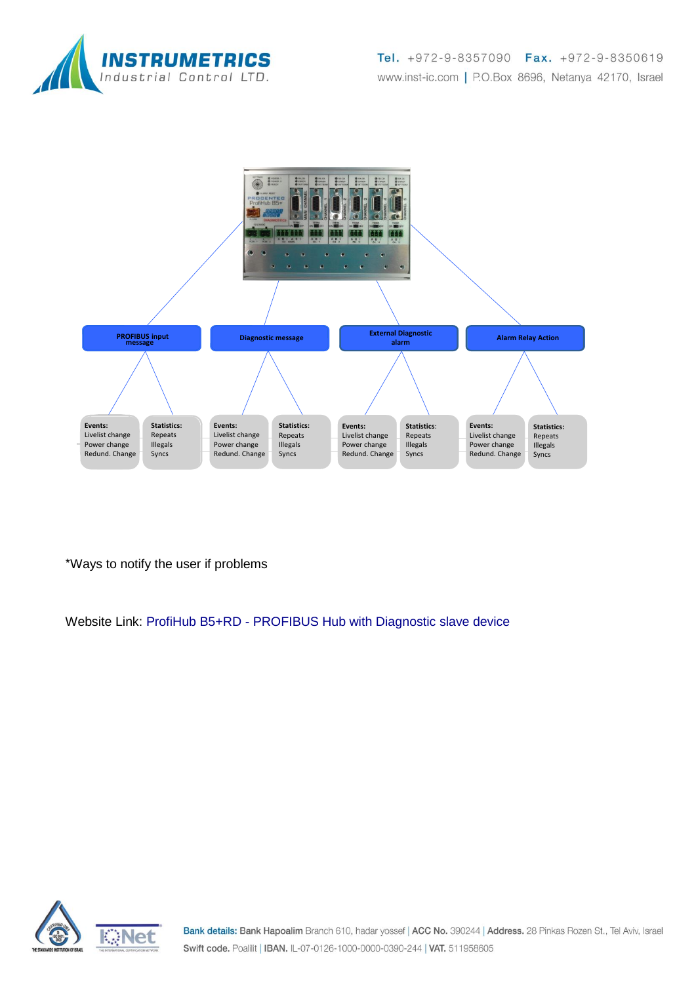



\*Ways to notify the user if problems

Website Link: ProfiHub B5+RD - [PROFIBUS Hub with Diagnostic slave device](http://www.procentec.com/products/productdisplay.php?SIG=000044)

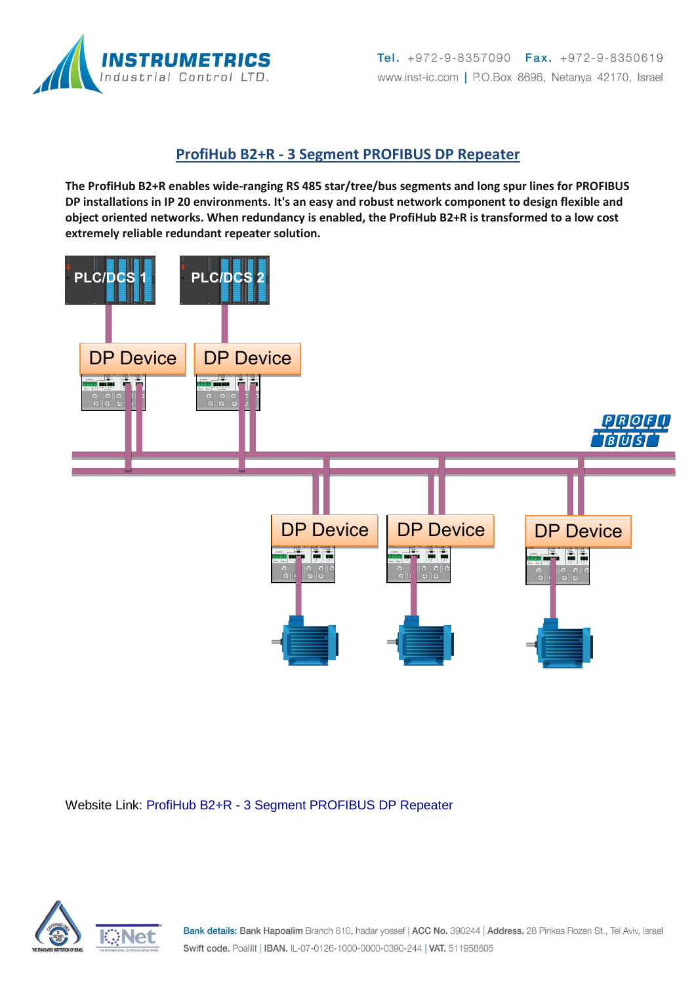

#### **ProfiHub B2+R - 3 Segment PROFIBUS DP Repeater**

**The ProfiHub B2+R enables wide-ranging RS 485 star/tree/bus segments and long spur lines for PROFIBUS DP installations in IP 20 environments. It's an easy and robust network component to design flexible and object oriented networks. When redundancy is enabled, the ProfiHub B2+R is transformed to a low cost extremely reliable redundant repeater solution.**



Website Link: ProfiHub B2+R - [3 Segment PROFIBUS DP Repeater](http://www.procentec.com/products/productdisplay.php?SIG=000042)

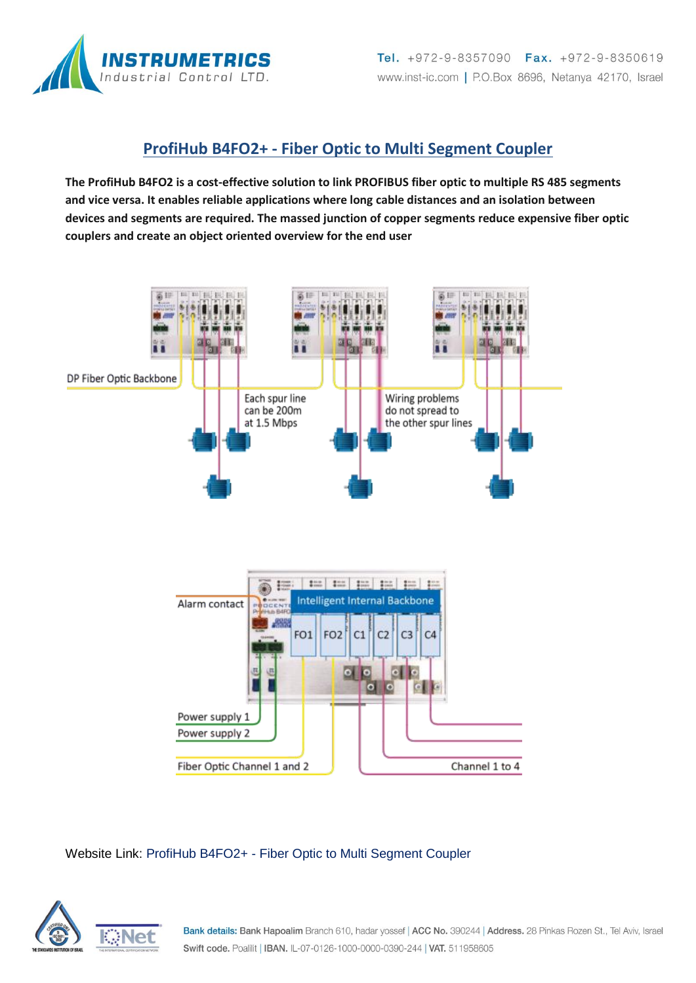

### **ProfiHub B4FO2+ - Fiber Optic to Multi Segment Coupler**

**The ProfiHub B4FO2 is a cost-effective solution to link PROFIBUS fiber optic to multiple RS 485 segments and vice versa. It enables reliable applications where long cable distances and an isolation between devices and segments are required. The massed junction of copper segments reduce expensive fiber optic couplers and create an object oriented overview for the end user**



#### Website Link: ProfiHub B4FO2+ - [Fiber Optic to Multi Segment Coupler](http://www.procentec.com/products/productdisplay.php?SIG=000046)